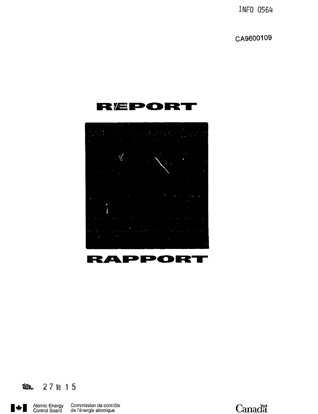INFO 0564

CA9600109



 $27$   $15$ **THESE** 



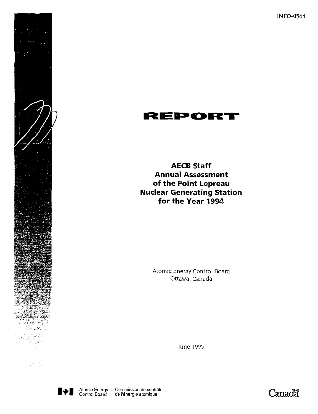INFO-0564





**AECB Staff Annual Assessment of the Point Lepreau Nuclear Generating Station for the Year 1994**

> Atomic Energy Control Board Ottawa, Canada

> > June 1995



Commission de contrôle

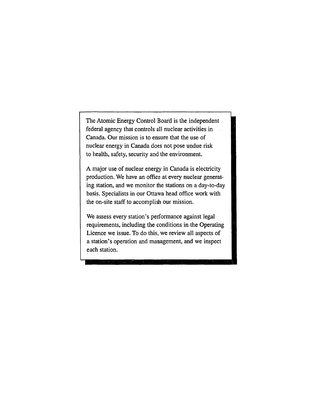The Atomic Energy Control Board is the independent federal agency that controls all nuclear activities in Canada. Our mission is to ensure that the use of nuclear energy in Canada does not pose undue risk to health, safety, security and the environment.

A major use of nuclear energy in Canada is electricity production. We have an office at every nuclear generating station, and we monitor the stations on a day-to-day basis. Specialists in our Ottawa head office work with the on-site staff to accomplish our mission.

We assess every station's performance against legal requirements, including the conditions in the Operating Licence we issue. To do this, we review all aspects of a station's operation and management, and we inspect each station.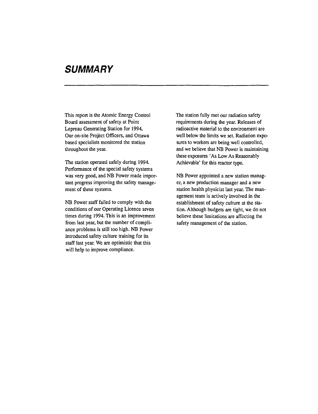### **SUMMARY**

This report is the Atomic Energy Control Board assessment of safety at Point Lepreau Generating Station for 1994. Our on-site Project Officers, and Ottawa based specialists monitored the station throughout the year.

The station operated safely during 1994. Performance of the special safety systems was very good, and NB Power made important progress improving the safety management of these systems.

NB Power staff failed to comply with the conditions of our Operating Licence seven times during 1994. This is an improvement from last year, but the number of compliance problems is still too high. NB Power introduced safety culture training for its staff last year. We are optimistic that this will help to improve compliance.

The station fully met our radiation safety requirements during the year. Releases of radioactive material to the environment are well below the limits we set. Radiation exposures to workers are being well controlled, and we believe that NB Power is maintaining these exposures 'As Low As Reasonably Achievable' for this reactor type.

NB Power appointed a new station manager, a new production manager and a new station health physicist last year. The management team is actively involved in the establishment of safety culture at the station. Although budgets are tight, we do not believe these limitations are affecting the safety management of the station.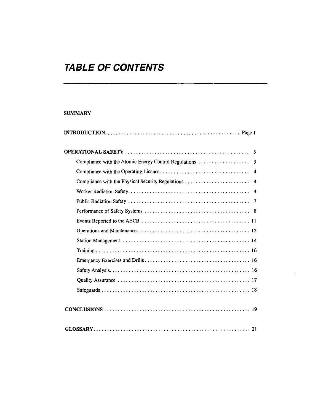## **TABLE OF CONTENTS**

### **SUMMARY**

 $\ddot{\phantom{a}}$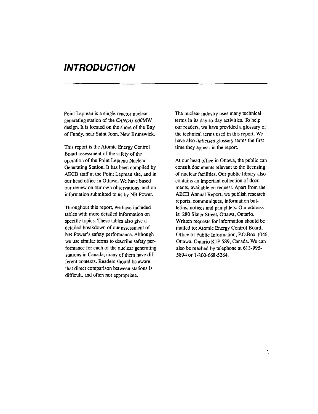### **INTRODUCTION**

Point Lepreau is a single reactor nuclear generating station of the *CANDU* 60OMW design. It is located on the shore of the Bay of Fundy, near Saint John, New Brunswick.

This report is the Atomic Energy Control Board assessment of the safety of the operation of the Point Lepreau Nuclear Generating Station. It has been compiled by AECB staff at the Point Lepreau site, and in our head office in Ottawa. We have based our review on our own observations, and on information submitted to us by NB Power.

Throughout this report, we have included tables with more detailed information on specific topics. These tables also give a detailed breakdown of our assessment of NB Power's safety performance. Although we use similar terms to describe safety performance for each of the nuclear generating stations in Canada, many of them have different contexts. Readers should be aware that direct comparison between stations is difficult, and often not appropriate.

The nuclear industry uses many technical terms in its day-to-day activities. To help our readers, we have provided a glossary of the technical terms used in this report. We have also *italicised* glossary terms the first time they appear in the report.

At our head office in Ottawa, the public can consult documents relevant to the licensing of nuclear facilities. Our public library also contains an important collection of documents, available on request. Apart from the AECB Annual Report, we publish research reports, communiques, information bulletins, notices and pamphlets. Our address is: 280 Slater Street, Ottawa, Ontario. Written requests for information should be mailed to: Atomic Energy Control Board, Office of Public Information, P.O.Box 1046, Ottawa, Ontario KIP 5S9, Canada. We can also be reached by telephone at 613-995- 5894 or 1-800-668-5284.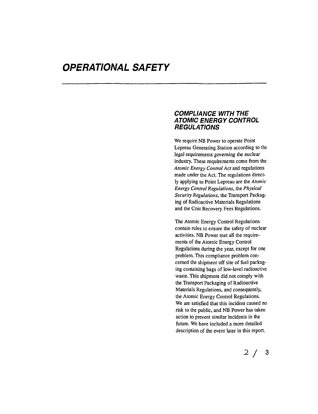### **OPERATIONAL SAFETY**

#### **COMPLIANCE WITH THE ATOMIC ENERGY CONTROL REGULATIONS**

We require NB Power to operate Point Lepreau Generating Station according to the legal requirements governing the nuclear industry. These requirements come from the *Atomic Energy Control Act* and regulations made under the Act. The regulations directly applying to Point Lepreau are the *Atomic Energy Control Regulations,* the *Physical Security Regulations,* the Transport Packaging of Radioactive Materials Regulations and the Cost Recovery Fees Regulations.

The Atomic Energy Control Regulations contain rules to ensure the safety of nuclear activities. NB Power met all the requirements of the Atomic Energy Control Regulations during the year, except for one problem. This compliance problem concerned the shipment off site of fuel packaging containing bags of low-level radioactive waste. This shipment did not comply with the Transport Packaging of Radioactive Materials Regulations, and consequently, the Atomic Energy Control Regulations. We are satisfied that this incident caused no risk to the public, and NB Power has taken action to prevent similar incidents in the future. We have included a more detailed description of the event later in this report.

*2/* **3**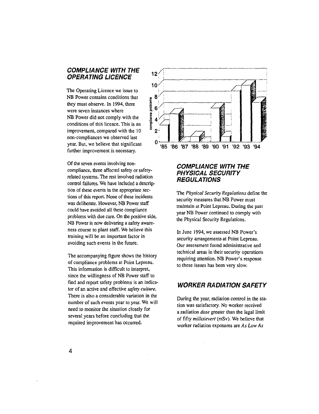#### **COMPLIANCE WITH THE OPERATING LICENCE**

The Operating Licence we issue to NB Power contains conditions that they must observe. In 1994, there were seven instances where NB Power did not comply with the conditions of this licence. This is an improvement, compared with the 10 non-compliances we observed last year. But, we believe that significant further improvement is necessary.

Of the seven events involving noncompliance, three affected safety or safetyrelated systems. The rest involved radiation control failures. We have included a description of these events in the appropriate sections of this report. None of these incidents was deliberate. However, NB Power staff could have avoided all these compliance problems with due care. On the positive side, NB Power is now delivering a safety awareness course to plant staff. We believe this training will be an important factor in avoiding such events in the future.

The accompanying figure shows the history of compliance problems at Point Lepreau. This information is difficult to interpret, since the willingness of NB Power staff to find and report safety problems is an indicator of an active and effective *safety culture.* There is also a considerable variation in the number of such events year to year. We will need to monitor the situation closely for several years before concluding that the required improvement has occurred.



#### **COMPLIANCE WITH THE PHYSICAL SECURITY REGULATIONS**

The *Physical Security Regulations* define the security measures that NB Power must maintain at Point Lepreau. During the past year NB Power continued to comply with the Physical Security Regulations.

In June 1994, we assessed NB Power's security arrangements at Point Lepreau. Our assessment found administrative and technical areas in their security operations requiring attention. NB Power's response to these issues has been very slow.

#### **WORKER RADIATION SAFETY**

During the year, radiation control in the station was satisfactory. No worker received a radiation *dose* greater than the legal limit of fifty *millisievert* (mSv). We believe that worker radiation exposures are *As Low As*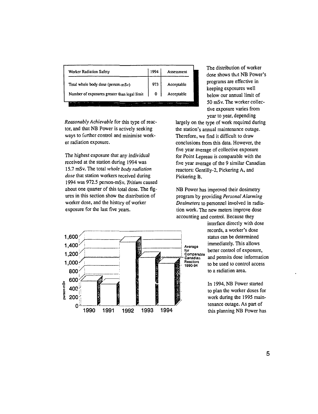| Worker Radiation Safety                      | 994 | Assessment |
|----------------------------------------------|-----|------------|
| Total whole body dose (person-mSv)           | 973 | Acceptable |
| Number of exposures greater than legal limit | O   | Acceptable |
|                                              |     |            |

*Reasonably Achievable* for this type of reactor, and that NB Power is actively seeking ways to further control and minimise worker radiation exposure.

The highest exposure that any individual received at the station during 1994 was 15.7 mSv. The total *whole body radiation dose* that station workers received during 1994 was 972.5 person-mSv. *Tritium* caused about one quarter of this total dose. The figures in this section show the distribution of worker dose, and the history of worker exposure for the last five years.



1990 1991 1992 1993 1994

person-mSv

Ō

The distribution of worker dose shows that NB Power's programs are effective in keeping exposures well below our annual limit of 50 mSv. The worker collective exposure varies from year to year, depending

largely on the type of work required during the station's annual maintenance outage. Therefore, we find it difficult to draw conclusions from this data. However, the five year average of collective exposure for Point Lepreau is comparable with the five year average of the 9 similar Canadian reactors: Gentilly-2, Pickering A, and Pickering B.

NB Power has improved their dosimetry program by providing *Personal Alarming Dosimeters* to personnel involved in radiation work. The new meters improve dose accounting and control. Because they

> interface directly with dose records, a worker's dose status can be determined immediately. This allows better control of exposure, and permits dose information to be used to control access to a radiation area.

In 1994, NB Power started to plan the worker doses for work during the 1995 maintenance outage. As part of this planning NB Power has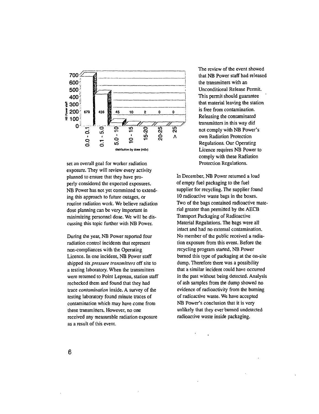

set an overall goal for worker radiation exposure. They will review every activity planned to ensure that they have properly considered the expected exposures. NB Power has not yet committed to extending this approach to future outages, or routine radiation work. We believe radiation dose planning can be very important in minimizing personnel dose. We will be discussing this topic further with NB Power.

During the year, NB Power reported four radiation control incidents that represent non-compliances with the Operating Licence. In one incident, NB Power staff shipped six *pressure transmitters* off site to a testing laboratory. When the transmitters were returned to Point Lepreau, station staff rechecked them and found that they had trace *contamination* inside. A survey of the testing laboratory found minute traces of contamination which may have come from these transmitters. However, no one received any measurable radiation exposure as a result of this event.

The review of the event showed that NB Power staff had released the transmitters with an Unconditional Release Permit. This permit should guarantee that material leaving the station is free from contamination. Releasing the contaminated transmitters in this way did not comply with NB Power's own Radiation Protection Regulations. Our Operating Licence requires NB Power to comply with these Radiation Protection Regulations.

In December, NB Power returned a load of empty fuel packaging to the fuel supplier for recycling. The supplier found 10 radioactive waste bags in the boxes. Two of the bags contained radioactive material greater than permitted by the AECB Transport Packaging of Radioactive Material Regulations. The bags were all intact and had no external contamination. No member of the public received a radiation exposure from this event. Before the recycling program started, NB Power burned this type of packaging at the on-site dump. Therefore there was a possibility that a similar incident could have occurred in the past without being detected. Analysis of ash samples from the dump showed no evidence of radioactivity from the burning of radioactive waste. We have accepted NB Power's conclusion that it is very unlikely that they ever burned undetected radioactive waste inside packaging.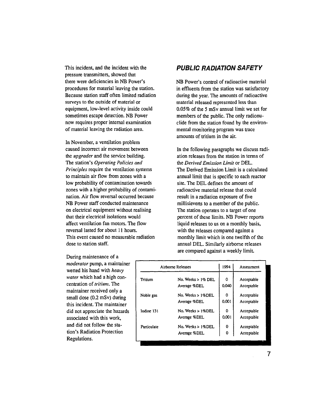This incident, and the incident with the pressure transmitters, showed that there were deficiencies in NB Power's procedures for material leaving the station. Because station staff often limited radiation surveys to the outside of material or equipment, low-level activity inside could sometimes escape detection. NB Power now requires proper internal examination of material leaving the radiation area.

In November, a ventilation problem caused incorrect air movement between the *upgrader* and the service building. The station's *Operating Policies and Principles* require the ventilation systems to maintain air flow from zones with a low probability of contamination towards zones with a higher probability of contamination. Air flow reversal occurred because NB Power staff conducted maintenance on electrical equipment without realising that their electrical isolations would affect ventilation fan motors. The flow reversal lasted for about 11 hours. This event caused no measurable radiation dose to station staff.

During maintenance of a *moderator* pump, a maintainer wetted his hand with *heavy water* which had a high concentration of *tritium.* The maintainer received only a small dose (0.2 mSv) during this incident. The maintainer did not appreciate the hazards associated with this work, and did not follow the station's Radiation Protection Regulations.

#### **PUBLIC RADIATION SAFETY**

NB Power's control of radioactive material in effluents from the station was satisfactory during **the** year. The amounts of radioactive material released represented less than 0.05% of the 5 mSv annual limit we set for members of the public. The only radionuclide from the station found by the environmental monitoring program was trace amounts of tritium in the air.

In the following paragraphs we discuss radiation releases from the station in terms of the *Derived Emission Limit* or DEL. The Derived Emission Limit is a calculated annual limit that is specific to each reactor site. The DEL defines the amount of radioactive material release that could result in a radiation exposure of five millisieverts to a member of the public. The station operates to a target of one percent of these limits. NB Power reports liquid releases to us on a monthly basis, with the releases compared against a monthly limit which is one twelfth of the annual DEL. Similarly airborne releases are compared against a weekly limit.

| Airborne Releases |                       | 1994  | Assessment |
|-------------------|-----------------------|-------|------------|
| Tritium           | No. Weeks $> 1\%$ DEL | 0     | Acceptable |
|                   | Average %DEL          | 0.040 | Acceptable |
| Noble gas         | No. Weeks > 1%DEL     | 0     | Acceptable |
|                   | Average %DEL          | 0.001 | Acceptable |
| lodine 131        | No. Weeks > 1%DEL     | 0     | Acceptable |
|                   | Average %DEL          | 0.001 | Acceptable |
| Particulate       | No. Weeks > 1%DEL     | 0     | Acceptable |
|                   | Average %DEL          | 0     | Acceptable |

 $\overline{7}$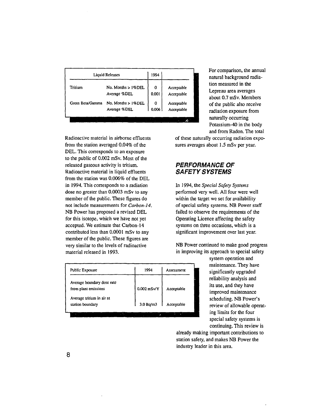|                    | 1994                   |            |
|--------------------|------------------------|------------|
| No. Months > 1%DEL | 0                      | Acceptable |
| Average %DEL       | 0.001                  | Acceptable |
| No. Months > 1%DEL | 0                      | Acceptable |
| Average %DEL       | 0.006                  | Acceptable |
|                    | <b>Liquid Releases</b> |            |

For comparison, the annual natural background radiation measured in the Lepreau area averages about 0.7 mSv. Members of the public also receive radiation exposure from naturally occurring Potassium-40 in the body and from Radon. The total

Radioactive material in airborne effluents from the station averaged 0.04% of the DEL. This corresponds to an exposure to the public of 0.002 mSv. Most of the released gaseous activity is tritium. Radioactive material in liquid effluents from the station was 0.006% of the DEL in 1994. This corresponds to a radiation dose no greater than 0.0003 mSv to any member of the public. These figures do not include measurements for *Carbon-14.* NB Power has proposed a revised DEL for this isotope, which we have not yet accepted. We estimate that Carbon-14 contributed less than 0.0001 mSv to any member of the public. These figures are very similar to the levels of radioactive material released in 1993.

| Public Exposure            | 1994          | Assessment |
|----------------------------|---------------|------------|
| Average boundary dose rate |               |            |
| from plant emissions       | $0.002$ mSv/Y | Acceptable |
| Average tritium in air at  |               |            |
| station boundary           | 3.0 Bq/m3     | Acceptable |

of these naturally occurring radiation exposures averages about 1.5 mSv per year.

#### **PERFORMANCE OF SAFETY SYSTEMS**

In 1994, the *Special Safety Systems* performed very well. All four were well within the target we set for availability of special safety systems. NB Power staff failed to observe the requirements of the Operating Licence affecting the safety systems on three occasions, which is a significant improvement over last year.

NB Power continued to make good progress in improving its approach to special safety

> system operation and maintenance. They have significantly upgraded reliability analysis and its use, and they have improved maintenance scheduling. NB Power's review of allowable operating limits for the four special safety systems is continuing. This review is

already making important contributions to station safety, and makes NB Power the industry leader in this area.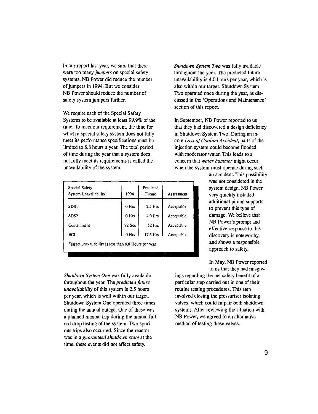In our report last year, we said that there were too many *jumpers* on special safety systems. NB Power did reduce the number of jumpers in 1994. But we consider NB Power should reduce the number of safety system jumpers further.

We require each of the Special Safety Systems to be available at least 99.9% of the time. To meet our requirement, the time for which a special safety system does not fully meet its performance specifications must be limited to 8.8 hours a year. The total period of time during the year that a system does not fully meet its requirements is called the unavailability of the system.

| Special Safety<br>System Unavailability <sup>1</sup> | 1994   | Predicted<br><b>Future</b> | Assessment |
|------------------------------------------------------|--------|----------------------------|------------|
| SDS1                                                 | 0 Hrs  | $2.5$ Hrs                  | Acceptable |
| SDS2                                                 | 0 Hrs  | 4.0 Hrs                    | Acceptable |
| Containment                                          | 72 Sec | 52 Hrs                     | Acceptable |
| ECI                                                  | 0 Hrs  | 17.5 Hrs                   | Acceptable |

*Shutdown System One* was fully available throughout the year. The *predicted future unavailability* of this system is 2.5 hours per year, which is well within our target. Shutdown System One operated three times during the annual outage. One of these was a planned manual trip during the annual full rod drop testing of the system. Two spurious trips also occurred. Since the reactor was in a *guaranteed shutdown state* at the time, these events did not affect safety.

*Shutdown System Two* was fully available throughout the year. The predicted future unavailability is 4.0 hours per year, which is also within our target. Shutdown System Two operated once during the year, as discussed in the 'Operations and Maintenance' section of this report.

In September, NB Power reported to us that they had discovered a design deficiency in Shutdown System Two. During an incore *Loss of Coolant Accident,* parts of the injection system could become flooded with moderator water. This leads to a concern that *water hammer* might occur when the system must operate during such

> an accident. This possibility was not considered in the system design. NB Power very quickly installed additional piping supports to prevent this type of damage. We believe that NB Power's prompt and effective response to this discovery is noteworthy, and shows a responsible approach to safety.

> In May, NB Power reported to us that they had misgiv-

ings regarding the net safety benefit of a particular step carried out in one of their routine testing procedures. This step involved closing the pressuriser isolating valves, which could impair both shutdown systems. After reviewing the situation with NB Power, we agreed to an alternative method of testing these valves.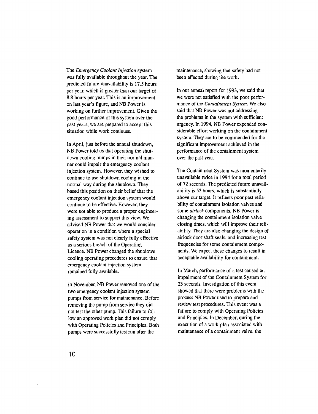The *Emergency Coolant Injection* system was fully available throughout the year. The predicted future unavailability is 17.5 hours per year, which is greater than our target of 8.8 hours per year. This is an improvement on last year's figure, and NB Power is working on further improvement. Given the good performance of this system over the past years, we are prepared to accept this situation while work continues.

In April, just before the annual shutdown, NB Power told us that operating the shutdown cooling pumps in their normal manner could impair the emergency coolant injection system. However, they wished to continue to use shutdown cooling in the normal way during the shutdown. They based this position on their belief that the emergency coolant injection system would continue to be effective. However, they were not able to produce a proper engineering assessment to support this view. We advised NB Power that we would consider operation in a condition where a special safety system was not clearly fully effective as a serious breach of the Operating Licence. NB Power changed the shutdown cooling operating procedures to ensure that emergency coolant injection system remained fully available.

In November, NB Power removed one of the two emergency coolant injection system pumps from service for maintenance. Before removing the pump from service they did not test the other pump. This failure to follow an approved work plan did not comply with Operating Policies and Principles. Both pumps were successfully test run after the

maintenance, showing that safety had not been affected during the work.

In our annual report for 1993, we said that we were not satisfied with the poor performance of the *Containment System.* We also said that NB Power was not addressing the problems in the system with sufficient urgency. In 1994, NB Power expended considerable effort working on the containment system. They are to be commended for the significant improvement achieved in the performance of the containment system over the past year.

The Containment System was momentarily unavailable twice in 1994 for a total period of 72 seconds. The predicted future unavailability is 52 hours, which is substantially above our target. It reflects poor past reliability of containment isolation valves and some *airlock* components. NB Power is changing the containment isolation valve closing times, which will improve their reliability. They are also changing the design of airlock door shaft seals, and increasing test frequencies for some containment components. We expect these changes to result in acceptable availability for containment.

In March, performance of a test caused an impairment of the Containment System for 23 seconds. Investigation of this event showed that there were problems with the process NB Power used to prepare and review test procedures. This event was a failure to comply with Operating Policies and Principles. In December, during the execution of a work plan associated with maintenance of a containment valve, the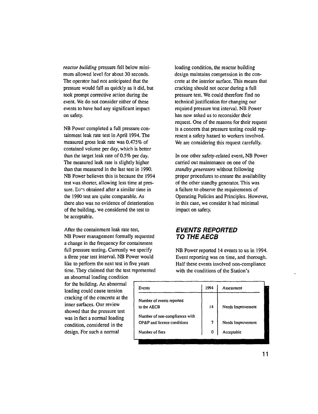*reactor building* pressure fell below minimum allowed level for about 30 seconds. The operator had not anticipated that the pressure would fall as quickly as it did, but took prompt corrective action during the event. We do not consider either of these events to have had any significant impact on safety.

NB Power completed a full pressure containment leak rate test in April 1994. The measured gross leak rate was 0.475% of contained volume per day, which is better than the target leak rate of 0.5% per day. The measured leak rate is slightly higher than that measured in the last test in 1990. NB Power believes this is because the 1994 test was shorter, allowing less time at pressure. Ds\*3 obtained after a similar time in the 1990 test are quite comparable. As there also was no evidence of deterioration of the building, we considered the test to be acceptable.

After the containment leak rate test, NB Power management formally requested a change in the frequency for containment full pressure testing. Currently we specify a three year test interval. NB Power would like to perform the next test in five years time. They claimed that the test represented

an abnormal loading condition for the building. An abnormal loading could cause tension cracking of the concrete at the inner surfaces. Our review showed that the pressure test was in fact a normal loading condition, considered in the design. For such a normal

loading condition, the reactor building design maintains compression in the concrete at the interior surface. This means that cracking should not occur during a full pressure test. We could therefore find no technical justification for changing our required pressure test interval. NB Power has now asked us to reconsider their request. One of the reasons for their request is a concern that pressure testing could represent a safety hazard to workers involved. We are considering this request carefully.

In one other safety-related event, NB Power carried out maintenance on one of the *standby generators* without following proper procedures to ensure the availability of the other standby generator. This was a failure to observe the requirements of Operating Policies and Principles. However, in this case, we consider it had minimal impact on safety.

#### **EVENTS REPORTED TOTHEAECB**

NB Power reported 14 events to us in 1994. Event reporting was on time, and thorough. Half these events involved non-compliance with the conditions of the Station's

| Events                         | 1994 | Assessment        |
|--------------------------------|------|-------------------|
| Number of events reported      |      |                   |
| to the AECB                    | 14   | Needs Improvement |
| Number of non-compliances with |      |                   |
| OP&P and licence conditions    |      | Needs Improvement |
| Number of fires                | 0    | Acceptable        |
| $\overline{a}$                 |      |                   |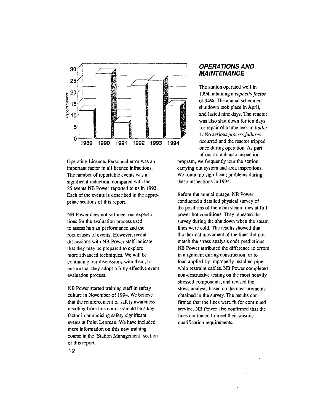

Operating Licence. Personnel error was an important factor in all licence infractions. The number of reportable events was a significant reduction, compared with the 25 events NB Power reported to us in 1993. Each of the events is described in the appropriate sections of this report.

NB Power does not yet meet our expectations for the evaluation process used to assess human performance and the root causes of events. However, recent discussions with NB Power staff indicate that they may be prepared to explore more advanced techniques. We will be continuing our discussions with them, to ensure that they adopt a fully effective event evaluation process.

NB Power started training staff in safety culture in November of 1994. We believe that the reinforcement of safety awareness resulting from this course should be a key factor in minimising safety significant events at Point Lepreau. We have included more information on this new training course in the 'Station Management' section of this report.

#### OPERATIONS AND MAINTENANCE

The station operated well in 1994, attaining a *capacity factor* of 94%. The annual scheduled shutdown took place in April, and lasted nine days. The reactor was also shut down for ten days for repair of a tube leak in *boiler* 1. No *serious process failures* occurred and the reactor tripped once during operation. As part of our compliance inspection

program, we frequently tour the station carrying out system and area inspections. We found no significant problems during these inspections in 1994.

Before the annual outage, NB Power conducted a detailed physical survey of the positions of the main steam lines at full power hot conditions. They repeated the survey during the shutdown when the steam lines were cold. The results showed that the thermal movement of the lines did not match the stress analysis code predictions. NB Power attributed the difference to errors in alignment during construction, or to load applied by improperly installed pipewhip restraint cables. NB Power completed non-destructive testing on the most heavily stressed components, and revised the stress analysis based on the measurements obtained in the survey. The results confirmed that the lines were fit for continued service. NB Power also confirmed that the lines continued to meet their seismic qualification requirements.

12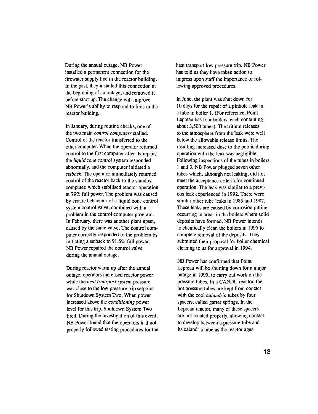During the annual outage, NB Power installed a permanent connection for the firewater supply line in the reactor building. In the past, they installed this connection at the beginning of an outage, and removed it before start-up. The change will improve NB Power's ability to respond to fires in the reactor building.

In January, during routine checks, one of the two main *control computers* stalled. Control of the reactor transferred to the other computer. When the operator returned control to the first computer after its repair, the *liquid zone control* system responded abnormally, and the computer initiated a *setback.* The operator immediately returned control of the reactor back to the standby computer, which stabilised reactor operation at 79% full power. The problem was caused by erratic behaviour of a liquid zone control system control valve, combined with a problem in the control computer program. In February, there was another plant upset, caused by the same valve. The control computer correctly responded to the problem by initiating a setback to 91.5% full power. NB Power repaired the control valve during the annual outage.

During reactor warm up after the annual outage, operators increased reactor power while the *heat transport system* pressure was close to the low pressure trip setpoint for Shutdown System Two. When power increased above the *conditioning* power level for this trip, Shutdown System Two fired. During the investigation of this event, NB Power found that the operators had not properly followed testing procedures for the heat transport low pressure trip. NB Power has told us they have taken action to impress upon staff the importance of following approved procedures.

In June, the plant was shut down for 10 days for the repair of a pinhole leak in a tube in boiler 1. (For reference, Point Lepreau has four boilers, each containing about 3,500 tubes). The tritium releases to the atmosphere from the leak were well below the allowable release limits. The resulting increased dose to the public during operation with the leak was negligible. Following inspections of the tubes in boilers 1 and 3, NB Power plugged seven other tubes which, although not leaking, did not meet the acceptance criteria for continued operation. The leak was similar to a previous leak experienced in 1992. There were similar other tube leaks in 1985 and 1987. These leaks are caused by corrosion pitting occurring in areas in the boilers where solid deposits have formed. NB Power intends to chemically clean the boilers in 1995 to complete removal of the deposits. They submitted their proposal for boiler chemical cleaning to us for approval in 1994.

NB Power has confirmed that Point Lepreau will be shutting down for a major outage in 1995, to carry out work on the pressure tubes. In a CANDU reactor, the hot pressure tubes are kept from contact with the cool *calandria* tubes by four spacers, called garter springs. In the Lepreau reactor, many of these spacers are not located properly, allowing contact to develop between a pressure tube and its calandria tube as the reactor ages.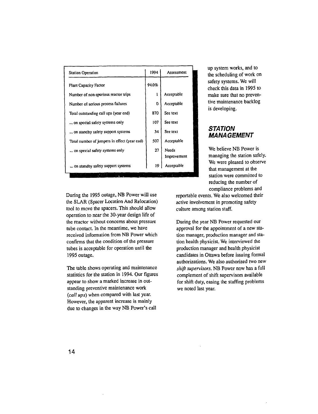| <b>Station Operation</b>                     | 1994  | Assessment                  |
|----------------------------------------------|-------|-----------------------------|
| Plant Capacity Factor                        | 94.0% |                             |
| Number of non-spurious reactor trips         |       | Acceptable                  |
| Number of serious process failures           | 0     | Acceptable                  |
| Total outstanding call ups (year end)        | 870   | See text                    |
| on special safety systems only               | 107   | See text                    |
| on standby safety support systems            | 34    | See text                    |
| Total number of jumpers in effect (year end) | 507   | Acceptable                  |
| on special safety systems only               | 27    | <b>Needs</b><br>Improvement |
| on standby safety support systems            | 19    | Acceptable                  |

During the 1995 outage, NB Power will use the SLAR (Spacer Location And Relocation) tool to move the spacers. This should allow operation to near the 30-year design life of the reactor without concerns about pressure tube contact. In the meantime, we have received information from NB Power which confirms that the condition of the pressure tubes is acceptable for operation until the 1995 outage.

The table shows operating and maintenance statistics for the station in 1994. Our figures appear to show a marked increase in outstanding preventive maintenance work *{call ups)* when compared with last year. However, the apparent increase is mainly due to changes in the way NB Power's call

up system works, and to the scheduling of work on safety systems. We will check this data in 1995 to make sure that no preventive maintenance backlog is developing.

#### **STATION MANAGEMENT**

We believe NB Power is managing the station safely. We were pleased to observe that management at the station were committed to reducing the number of compliance problems and

reportable events. We also welcomed their active involvement in promoting safety culture among station staff.

During the year NB Power requested our approval for the appointment of a new station manager, production manager and station health physicist. We interviewed the production manager and health physicist candidates in Ottawa before issuing formal authorizations. We also authorized two new *shift supervisors.* NB Power now has a full complement of shift supervisors available for shift duty, easing the staffing problems we noted last year.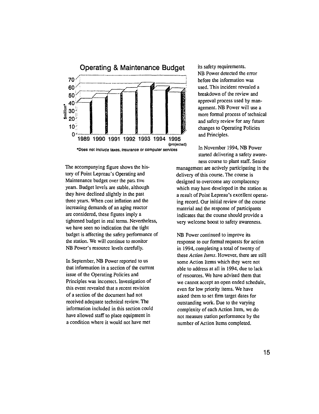

The accompanying figure shows the history of Point Lepreau's Operating and Maintenance budget over the past five years. Budget levels are stable, although they have declined slightly in the past three years. When cost inflation and the increasing demands of an aging reactor are considered, these figures imply a tightened budget in real terms. Nevertheless, we have seen no indication that the tight budget is affecting the safety performance of the station. We will continue to monitor NB Power's resource levels carefully.

In September, NB Power reported to us that information in a section of the current issue of the Operating Policies and Principles was incorrect. Investigation of this event revealed that a recent revision of a section of the document had not received adequate technical review. The information included in this section could have allowed staff to place equipment in a condition where it would not have met

its safety requirements. NB Power detected the error before the information was used. This incident revealed a breakdown of the review and approval process used by management. NB Power will use a more formal process of technical and safety review for any future changes to Operating Policies and Principles.

In November 1994, NB Power started delivering a safety awareness course to plant staff. Senior

management are actively participating in the delivery of this course. The course is designed to overcome any complacency which may have developed in the station as a result of Point Lepreau's excellent operating record. Our initial review of the course material and the response of participants indicates that the course should provide a very welcome boost to safety awareness.

NB Power continued to improve its response to our formal requests for action in 1994, completing a total of twenty of these *Action Items.* However, there are still some Action Items which they were not able to address at all in 1994, due to lack of resources. We have advised them that we cannot accept an open ended schedule, even for low priority items. We have asked them to set firm target dates for outstanding work. Due to the varying complexity of each Action Item, we do not measure station performance by the number of Action Items completed.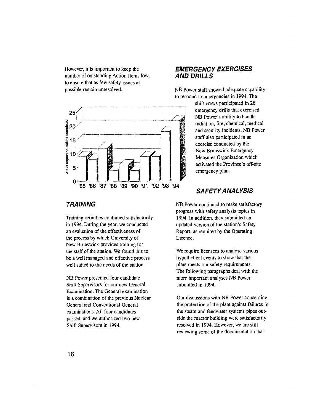However, it is important to keep the number of outstanding Action Items low, to ensure that as few safety issues as possible remain unresolved.



#### **TRAINING**

Training activities continued satisfactorily in 1994. During the year, we conducted an evaluation of the effectiveness of the process by which University of New Brunswick provides training for the staff of the station. We found this to be a well managed and effective process well suited to the needs of the station.

NB Power presented four candidate Shift Supervisors for our new General Examination. The General examination is a combination of the previous Nuclear General and Conventional General examinations. All four candidates passed, and we authorized two new Shift Supervisors in 1994.

#### **EMERGENCY EXERCISES AND DRILLS**

NB Power staff showed adequate capability to respond to emergencies in 1994. The

> shift crews participated in 26 emergency drills that exercised NB Power's ability to handle radiation, fire, chemical, medical and security incidents. NB Power staff also participated in an exercise conducted by the New Brunswick Emergency Measures Organization which activated the Province's off-site emergency plan.

#### **SAFETY ANALYSIS**

NB Power continued to make satisfactory progress with safety analysis topics in 1994. In addition, they submitted an updated version of the station's Safety Report, as required by the Operating Licence.

We require licensees to analyze various hypothetical events to show that the plant meets our safety requirements. The following paragraphs deal with the more important analyses NB Power submitted in 1994.

Our discussions with NB Power concerning the protection of the plant against failures in the steam and feedwater systems pipes outside the reactor building were satisfactorily resolved in 1994. However, we are still reviewing some of the documentation that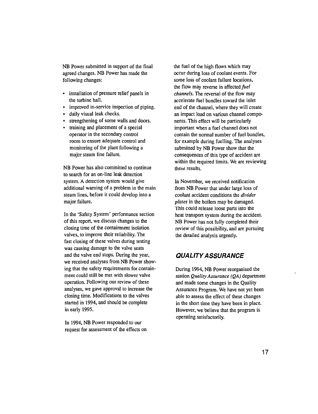NB Power submitted in support of the final agreed changes. NB Power has made the following changes:

- installation of pressure relief panels in the turbine hall.
- improved in-service inspection of piping.
- daily visual leak checks,
- strengthening of some walls and doors.
- training and placement of a special operator in the secondary control room to ensure adequate control and monitoring of the plant following a major steam line failure.

NB Power has also committed to continue to search for an on-line leak detection system. A detection system would give additional warning of a problem in the main steam lines, before it could develop into a major failure.

In the 'Safety System' performance section of this report, we discuss changes to the closing time of the containment isolation valves, to improve their reliability. The fast closing of these valves during testing was causing damage to the valve seats and the valve end stops. During the year, we received analyses from NB Power showing that the safety requirements for containment could still be met with slower valve operation. Following our review of these analyses, we gave approval to increase the closing time. Modifications to the valves started in 1994, and should be complete in early 1995.

In 1994, NB Power responded to our request for assessment of the effects on the fuel of the high flows which may occur during loss of coolant events. For some loss of coolant failure locations, the flow may reverse in affected *fuel channels.* The reversal of the flow may accelerate fuel bundles toward the inlet end of the channel, where they will create an impact load on various channel components. This effect will be particularly important when a fuel channel does not contain the normal number of fuel bundles, for example during fuelling. The analyses submitted by NB Power show that the consequences of this type of accident are within the required limits. We are reviewing these results.

In November, we received notification from NB Power that under large loss of coolant accident conditions the *divider plates* in the boilers may be damaged. This could release loose parts into the heat transport system during the accident. NB Power has not fully completed their review of this possibility, and are pursuing the detailed analysis urgently.

#### **QUALITY ASSURANCE**

During 1994, NB Power reorganised the station *Quality Assurance (QA)* department and made some changes in the Quality Assurance Program. We have not yet been able to assess the effect of these changes in the short time they have been in place. However, we believe that the program is operating satisfactorily.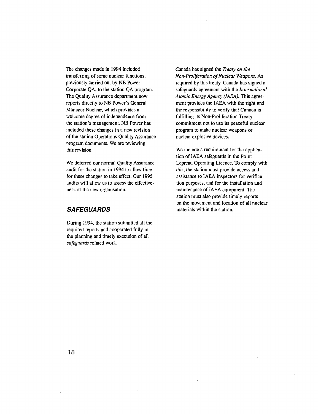The changes made in 1994 included transferring of some nuclear functions, previously carried out by NB Power Corporate QA, to the station QA program. The Quality Assurance department now reports directly to NB Power's General Manager Nuclear, which provides a welcome degree of independence from the station's management. NB Power has included these changes in a new revision of the station Operations Quality Assurance program documents. We are reviewing this revision.

We deferred our normal Quality Assurance audit for the station in 1994 to allow time for these changes to take effect. Our 1995 audits will allow us to assess the effectiveness of the new organisation.

#### **SAFEGUARDS**

During 1994, the station submitted all the required reports and cooperated fully in the planning and timely execution of all *safeguards* related work.

Canada has signed the *Treaty on the Non-Proliferation of Nuclear Weapons.* As required by this treaty, Canada has signed a safeguards agreement with the *international Atomic Energy Agency (IAEA).* This agreement provides the IAEA with the right and the responsibility to verify that Canada is fulfilling its Non-Proliferation Treaty commitment not to use its peaceful nuclear program to make nuclear weapons or nuclear explosive devices.

We include a requirement for the application of IAEA safeguards in the Point Lepreau Operating Licence. To comply with this, the station must provide access and assistance to IAEA inspectors for verification purposes, and for the installation and maintenance of IAEA equipment. The station must also provide timely reports on the movement and location of all nuclear materials within the station.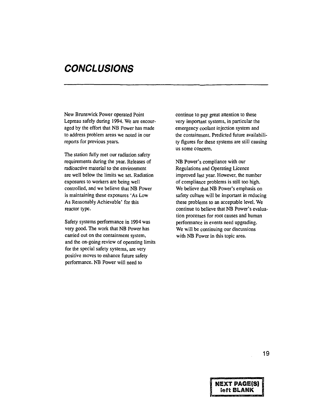### **CONCLUSIONS**

New Brunswick Power operated Point Lepreau safely during 1994. We are encouraged by the effort that NB Power has made to address problem areas we noted in our reports for previous years.

The station fully met our radiation safety requirements during the year. Releases of radioactive material to the environment are well below the limits we set. Radiation exposures to workers are being well controlled, and we believe that NB Power is maintaining these exposures 'As Low As Reasonably Achievable' for this reactor type.

Safety systems performance in 1994 was very good. The work that NB Power has carried out on the containment system, and the on-going review of operating limits for the special safety systems, are very positive moves to enhance future safety performance. NB Power will need to

continue to pay great attention to these very important systems, in particular the emergency coolant injection system and the containment. Predicted future availability figures for these systems are still causing us some concern.

NB Power's compliance with our Regulations and Operating Licence improved last year. However, the number of compliance problems is still too high. We believe that NB Power's emphasis on safety culture will be important in reducing these problems to an acceptable level. We continue to believe that NB Power's evaluation processes for root causes and human performance in events need upgrading. We will be continuing our discussions with NB Power in this topic area.

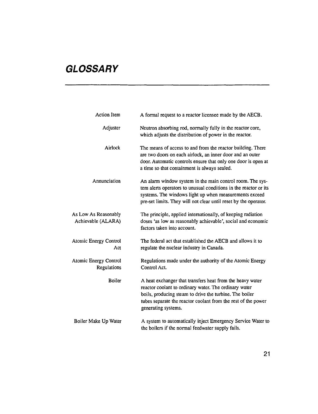# **GLOSSARY**

| <b>Action Item</b>                          | A formal request to a reactor licensee made by the AECB.                                                                                                                                                                                                              |
|---------------------------------------------|-----------------------------------------------------------------------------------------------------------------------------------------------------------------------------------------------------------------------------------------------------------------------|
| Adjuster                                    | Neutron absorbing rod, normally fully in the reactor core,<br>which adjusts the distribution of power in the reactor.                                                                                                                                                 |
| Airlock                                     | The means of access to and from the reactor building. There<br>are two doors on each airlock, an inner door and an outer<br>door. Automatic controls ensure that only one door is open at<br>a time so that containment is always sealed.                             |
| Annunciation                                | An alarm window system in the main control room. The sys-<br>tem alerts operators to unusual conditions in the reactor or its<br>systems. The windows light up when measurements exceed<br>pre-set limits. They will not clear until reset by the operator.           |
| As Low As Reasonably<br>Achievable (ALARA)  | The principle, applied internationally, of keeping radiation<br>doses 'as low as reasonably achievable', social and economic<br>factors taken into account.                                                                                                           |
| Atomic Energy Control<br>Act                | The federal act that established the AECB and allows it to<br>regulate the nuclear industry in Canada.                                                                                                                                                                |
| <b>Atomic Energy Control</b><br>Regulations | Regulations made under the authority of the Atomic Energy<br>Control Act.                                                                                                                                                                                             |
| Boiler                                      | A heat exchanger that transfers heat from the heavy water<br>reactor coolant to ordinary water. The ordinary water<br>boils, producing steam to drive the turbine. The boiler<br>tubes separate the reactor coolant from the rest of the power<br>generating systems. |
| Boiler Make Up Water                        | A system to automatically inject Emergency Service Water to<br>the boilers if the normal feedwater supply fails.                                                                                                                                                      |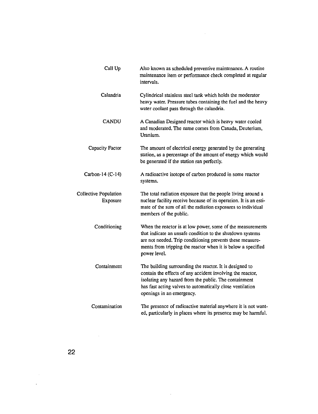| Call Up                           | Also known as scheduled preventive maintenance. A routine<br>maintenance item or performance check completed at regular<br>intervals.                                                                                                                                    |
|-----------------------------------|--------------------------------------------------------------------------------------------------------------------------------------------------------------------------------------------------------------------------------------------------------------------------|
| Calandria                         | Cylindrical stainless steel tank which holds the moderator<br>heavy water. Pressure tubes containing the fuel and the heavy<br>water coolant pass through the calandria.                                                                                                 |
| <b>CANDU</b>                      | A Canadian Designed reactor which is heavy water cooled<br>and moderated. The name comes from Canada, Deuterium,<br>Uranium.                                                                                                                                             |
| Capacity Factor                   | The amount of electrical energy generated by the generating<br>station, as a percentage of the amount of energy which would<br>be generated if the station ran perfectly.                                                                                                |
| Carbon-14 (C-14)                  | A radioactive isotope of carbon produced in some reactor<br>systems.                                                                                                                                                                                                     |
| Collective Population<br>Exposure | The total radiation exposure that the people living around a<br>nuclear facility receive because of its operation. It is an esti-<br>mate of the sum of all the radiation exposures to individual<br>members of the public.                                              |
| Conditioning                      | When the reactor is at low power, some of the measurements<br>that indicate an unsafe condition to the shutdown systems<br>are not needed. Trip conditioning prevents these measure-<br>ments from tripping the reactor when it is below a specified<br>power level.     |
| Containment                       | The building surrounding the reactor. It is designed to<br>contain the effects of any accident involving the reactor,<br>isolating any hazard from the public. The containment<br>has fast acting valves to automatically close ventilation<br>openings in an emergency. |
| Contamination                     | The presence of radioactive material anywhere it is not want-<br>ed, particularly in places where its presence may be harmful.                                                                                                                                           |

 $\sim 400$ 

 $\mathcal{L}^{\text{max}}_{\text{max}}$  ,  $\mathcal{L}^{\text{max}}_{\text{max}}$ 

**22**

 $\hat{\mathcal{A}}$ 

 $\mathcal{L}^{\text{max}}_{\text{max}}$  ,  $\mathcal{L}^{\text{max}}_{\text{max}}$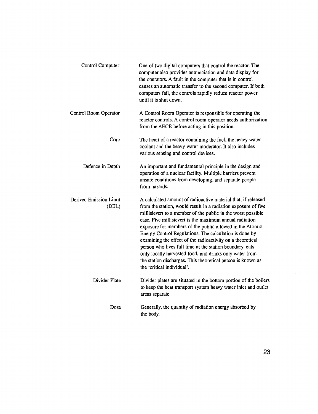| Control Computer                | One of two digital computers that control the reactor. The<br>computer also provides annunciation and data display for<br>the operators. A fault in the computer that is in control<br>causes an automatic transfer to the second computer. If both<br>computers fail, the controls rapidly reduce reactor power<br>until it is shut down.                                                                                                                                                                                                                                                                                                                         |
|---------------------------------|--------------------------------------------------------------------------------------------------------------------------------------------------------------------------------------------------------------------------------------------------------------------------------------------------------------------------------------------------------------------------------------------------------------------------------------------------------------------------------------------------------------------------------------------------------------------------------------------------------------------------------------------------------------------|
| Control Room Operator           | A Control Room Operator is responsible for operating the<br>reactor controls. A control room operator needs authorization<br>from the AECB before acting in this position.                                                                                                                                                                                                                                                                                                                                                                                                                                                                                         |
| Core                            | The heart of a reactor containing the fuel, the heavy water<br>coolant and the heavy water moderator. It also includes<br>various sensing and control devices.                                                                                                                                                                                                                                                                                                                                                                                                                                                                                                     |
| Defence in Depth                | An important and fundamental principle in the design and<br>operation of a nuclear facility. Multiple barriers prevent<br>unsafe conditions from developing, and separate people<br>from hazards.                                                                                                                                                                                                                                                                                                                                                                                                                                                                  |
| Derived Emission Limit<br>(DEL) | A calculated amount of radioactive material that, if released<br>from the station, would result in a radiation exposure of five<br>millisievert to a member of the public in the worst possible<br>case. Five millisievert is the maximum annual radiation<br>exposure for members of the public allowed in the Atomic<br>Energy Control Regulations. The calculation is done by<br>examining the effect of the radioactivity on a theoretical<br>person who lives full time at the station boundary, eats<br>only locally harvested food, and drinks only water from<br>the station discharges. This theoretical person is known as<br>the 'critical individual'. |
| Divider Plate                   | Divider plates are situated in the bottom portion of the boilers<br>to keep the heat transport system heavy water inlet and outlet<br>areas separate                                                                                                                                                                                                                                                                                                                                                                                                                                                                                                               |
| Dose                            | Generally, the quantity of radiation energy absorbed by<br>the body.                                                                                                                                                                                                                                                                                                                                                                                                                                                                                                                                                                                               |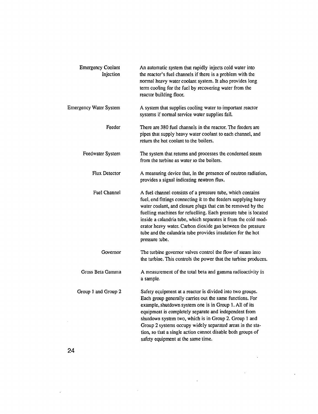| <b>Emergency Coolant</b><br>Injection | An automatic system that rapidly injects cold water into<br>the reactor's fuel channels if there is a problem with the<br>normal heavy water coolant system. It also provides long<br>term cooling for the fuel by recovering water from the<br>reactor building floor.                                                                                                                                                                                                           |
|---------------------------------------|-----------------------------------------------------------------------------------------------------------------------------------------------------------------------------------------------------------------------------------------------------------------------------------------------------------------------------------------------------------------------------------------------------------------------------------------------------------------------------------|
| <b>Emergency Water System</b>         | A system that supplies cooling water to important reactor<br>systems if normal service water supplies fail.                                                                                                                                                                                                                                                                                                                                                                       |
| Feeder                                | There are 380 fuel channels in the reactor. The feeders are<br>pipes that supply heavy water coolant to each channel, and<br>return the hot coolant to the boilers.                                                                                                                                                                                                                                                                                                               |
| Feedwater System                      | The system that returns and processes the condensed steam<br>from the turbine as water to the boilers.                                                                                                                                                                                                                                                                                                                                                                            |
| Flux Detector                         | A measuring device that, in the presence of neutron radiation,<br>provides a signal indicating neutron flux.                                                                                                                                                                                                                                                                                                                                                                      |
| <b>Fuel Channel</b>                   | A fuel channel consists of a pressure tube, which contains<br>fuel, end fittings connecting it to the feeders supplying heavy<br>water coolant, and closure plugs that can be removed by the<br>fuelling machines for refuelling. Each pressure tube is located<br>inside a calandria tube, which separates it from the cold mod-<br>erator heavy water. Carbon dioxide gas between the pressure<br>tube and the calandria tube provides insulation for the hot<br>pressure tube. |
| Governor                              | The turbine governor valves control the flow of steam into<br>the turbine. This controls the power that the turbine produces.                                                                                                                                                                                                                                                                                                                                                     |
| Gross Beta Gamma                      | A measurement of the total beta and gamma radioactivity in<br>a sample.                                                                                                                                                                                                                                                                                                                                                                                                           |
| Group 1 and Group 2                   | Safety equipment at a reactor is divided into two groups.<br>Each group generally carries out the same functions. For<br>example, shutdown system one is in Group 1. All of its<br>equipment is completely separate and independent from<br>shutdown system two, which is in Group 2. Group 1 and<br>Group 2 systems occupy widely separated areas in the sta-<br>tion, so that a single action cannot disable both groups of<br>safety equipment at the same time.               |

 $\overline{\phantom{a}}$ 

 $\bar{\beta}$ 

 $\ddot{\phantom{a}}$ 

 $\ddot{\phantom{a}}$ 

**24**

 $\ddot{\phantom{a}}$ 

 $\bar{z}$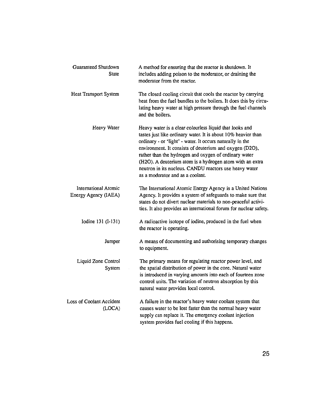| Guaranteed Shutdown<br><b>State</b>          | A method for ensuring that the reactor is shutdown. It<br>includes adding poison to the moderator, or draining the<br>moderator from the reactor.                                                                                                                                                                                                                                                                                                                   |
|----------------------------------------------|---------------------------------------------------------------------------------------------------------------------------------------------------------------------------------------------------------------------------------------------------------------------------------------------------------------------------------------------------------------------------------------------------------------------------------------------------------------------|
| Heat Transport System                        | The closed cooling circuit that cools the reactor by carrying<br>heat from the fuel bundles to the boilers. It does this by circu-<br>lating heavy water at high pressure through the fuel channels<br>and the boilers.                                                                                                                                                                                                                                             |
| Heavy Water                                  | Heavy water is a clear colourless liquid that looks and<br>tastes just like ordinary water. It is about 10% heavier than<br>ordinary - or 'light' - water. It occurs naturally in the<br>environment. It consists of deuterium and oxygen (D2O),<br>rather than the hydrogen and oxygen of ordinary water<br>(H2O). A deuterium atom is a hydrogen atom with an extra<br>neutron in its nucleus. CANDU reactors use heavy water<br>as a moderator and as a coolant. |
| International Atomic<br>Energy Agency (IAEA) | The International Atomic Energy Agency is a United Nations<br>Agency. It provides a system of safeguards to make sure that<br>states do not divert nuclear materials to non-peaceful activi-<br>ties. It also provides an international forum for nuclear safety.                                                                                                                                                                                                   |
| Iodine 131 (I-131)                           | A radioactive isotope of iodine, produced in the fuel when<br>the reactor is operating.                                                                                                                                                                                                                                                                                                                                                                             |
| Jumper                                       | A means of documenting and authorising temporary changes<br>to equipment.                                                                                                                                                                                                                                                                                                                                                                                           |
| Liquid Zone Control<br>System                | The primary means for regulating reactor power level, and<br>the spatial distribution of power in the core. Natural water<br>is introduced in varying amounts into each of fourteen zone<br>control units. The variation of neutron absorption by this<br>natural water provides local control.                                                                                                                                                                     |
| Loss of Coolant Accident<br>(LOCA)           | A failure in the reactor's heavy water coolant system that<br>causes water to be lost faster than the normal heavy water<br>supply can replace it. The emergency coolant injection<br>system provides fuel cooling if this happens.                                                                                                                                                                                                                                 |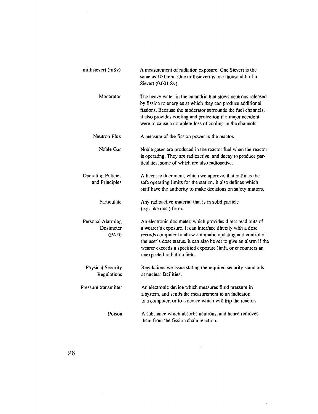| millisievert (mSv)                          | A measurement of radiation exposure. One Sievert is the<br>same as 100 rem. One millisievert is one thousandth of a<br>Sievert (0.001 Sv).                                                                                                                                                                                                                   |
|---------------------------------------------|--------------------------------------------------------------------------------------------------------------------------------------------------------------------------------------------------------------------------------------------------------------------------------------------------------------------------------------------------------------|
| Moderator                                   | The heavy water in the calandria that slows neutrons released<br>by fission to energies at which they can produce additional<br>fissions. Because the moderator surrounds the fuel channels,<br>it also provides cooling and protection if a major accident<br>were to cause a complete loss of cooling in the channels.                                     |
| Neutron Flux                                | A measure of the fission power in the reactor.                                                                                                                                                                                                                                                                                                               |
| Noble Gas                                   | Noble gases are produced in the reactor fuel when the reactor<br>is operating. They are radioactive, and decay to produce par-<br>ticulates, some of which are also radioactive.                                                                                                                                                                             |
| <b>Operating Policies</b><br>and Principles | A licensee document, which we approve, that outlines the<br>safe operating limits for the station. It also defines which<br>staff have the authority to make decisions on safety matters.                                                                                                                                                                    |
| Particulate                                 | Any radioactive material that is in solid particle<br>(e.g. like dust) form.                                                                                                                                                                                                                                                                                 |
| Personal Alarming<br>Dosimeter<br>(PAD)     | An electronic dosimeter, which provides direct read outs of<br>a wearer's exposure. It can interface directly with a dose<br>records computer to allow automatic updating and control of<br>the user's dose status. It can also be set to give an alarm if the<br>wearer exceeds a specified exposure limit, or encounters an<br>unexpected radiation field. |
| <b>Physical Security</b><br>Regulations     | Regulations we issue stating the required security standards<br>at nuclear facilities.                                                                                                                                                                                                                                                                       |
| Pressure transmitter                        | An electronic device which measures fluid pressure in<br>a system, and sends the measurement to an indicator,<br>to a computer, or to a device which will trip the reactor.                                                                                                                                                                                  |
| Poison                                      | A substance which absorbs neutrons, and hence removes<br>them from the fission chain reaction.                                                                                                                                                                                                                                                               |

 $\mathcal{L}^{\text{max}}_{\text{max}}$ 

 $\mathcal{L}_{\mathcal{A}}$ 

 $\mathcal{L}(\mathcal{A})$  and  $\mathcal{L}(\mathcal{A})$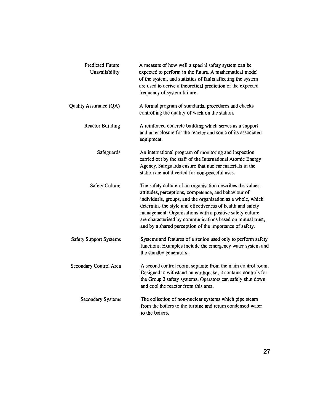| <b>Predicted Future</b><br>Unavailability | A measure of how well a special safety system can be<br>expected to perform in the future. A mathematical model<br>of the system, and statistics of faults affecting the system<br>are used to derive a theoretical prediction of the expected<br>frequency of system failure.                                                                                                                                                        |
|-------------------------------------------|---------------------------------------------------------------------------------------------------------------------------------------------------------------------------------------------------------------------------------------------------------------------------------------------------------------------------------------------------------------------------------------------------------------------------------------|
| Quality Assurance (QA)                    | A formal program of standards, procedures and checks<br>controlling the quality of work on the station.                                                                                                                                                                                                                                                                                                                               |
| <b>Reactor Building</b>                   | A reinforced concrete building which serves as a support<br>and an enclosure for the reactor and some of its associated<br>equipment.                                                                                                                                                                                                                                                                                                 |
| Safeguards                                | An international program of monitoring and inspection<br>carried out by the staff of the International Atomic Energy<br>Agency. Safeguards ensure that nuclear materials in the<br>station are not diverted for non-peaceful uses.                                                                                                                                                                                                    |
| Safety Culture                            | The safety culture of an organisation describes the values,<br>attitudes, perceptions, competence, and behaviour of<br>individuals, groups, and the organisation as a whole, which<br>determine the style and effectiveness of health and safety<br>management. Organisations with a positive safety culture<br>are characterised by communications based on mutual trust,<br>and by a shared perception of the importance of safety. |
| <b>Safety Support Systems</b>             | Systems and features of a station used only to perform safety<br>functions. Examples include the emergency water system and<br>the standby generators.                                                                                                                                                                                                                                                                                |
| Secondary Control Area                    | A second control room, separate from the main control room.<br>Designed to withstand an earthquake, it contains controls for<br>the Group 2 safety systems. Operators can safely shut down<br>and cool the reactor from this area.                                                                                                                                                                                                    |
| Secondary Systems                         | The collection of non-nuclear systems which pipe steam<br>from the boilers to the turbine and return condensed water<br>to the boilers.                                                                                                                                                                                                                                                                                               |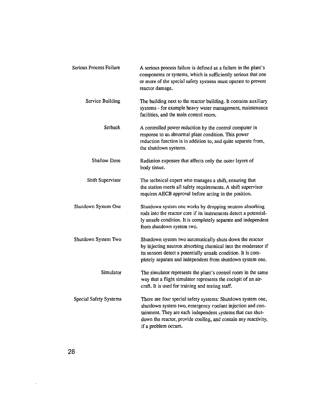| Serious Process Failure       | A serious process failure is defined as a failure in the plant's<br>components or systems, which is sufficiently serious that one<br>or more of the special safety systems must operate to prevent<br>reactor damage.                                                            |
|-------------------------------|----------------------------------------------------------------------------------------------------------------------------------------------------------------------------------------------------------------------------------------------------------------------------------|
| Service Building              | The building next to the reactor building. It contains auxiliary<br>systems - for example heavy water management, maintenance<br>facilities, and the main control room.                                                                                                          |
| Setback                       | A controlled power reduction by the control computer in<br>response to an abnormal plant condition. This power<br>reduction function is in addition to, and quite separate from,<br>the shutdown systems.                                                                        |
| Shallow Dose                  | Radiation exposure that affects only the outer layers of<br>body tissue.                                                                                                                                                                                                         |
| Shift Supervisor              | The technical expert who manages a shift, ensuring that<br>the station meets all safety requirements. A shift supervisor<br>requires AECB approval before acting in the position.                                                                                                |
| Shutdown System One           | Shutdown system one works by dropping neutron absorbing<br>rods into the reactor core if its instruments detect a potential-<br>ly unsafe condition. It is completely separate and independent<br>from shutdown system two.                                                      |
| Shutdown System Two           | Shutdown system two automatically shuts down the reactor<br>by injecting neutron absorbing chemical into the moderator if<br>its sensors detect a potentially unsafe condition. It is com-<br>pletely separate and independent from shutdown system one.                         |
| Simulator                     | The simulator represents the plant's control room in the same<br>way that a flight simulator represents the cockpit of an air-<br>craft. It is used for training and testing staff.                                                                                              |
| <b>Special Safety Systems</b> | There are four special safety systems: Shutdown system one,<br>shutdown system two, emergency coolant injection and con-<br>tainment. They are each independent systems that can shut-<br>down the reactor, provide cooling, and contain any reactivity,<br>if a problem occurs. |

 $\mathcal{L}(\mathcal{L})$  . The  $\mathcal{L}(\mathcal{L})$